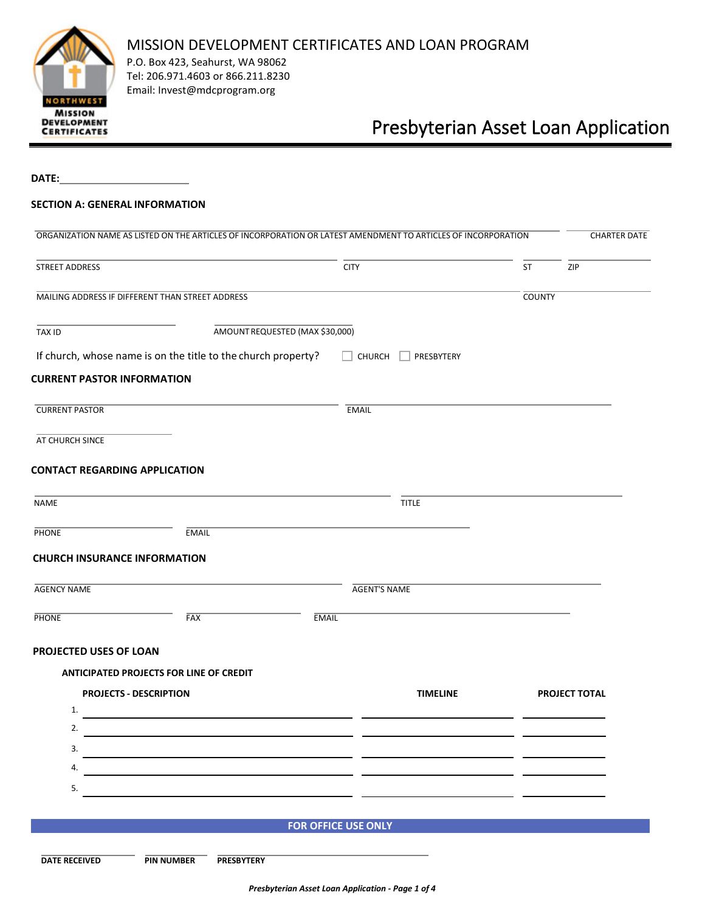

P.O. Box 423, Seahurst, WA 98062 Tel: 206.971.4603 or 866.211.8230 Email: Invest@mdcprogram.org

# Presbyterian Asset Loan Application

**DATE:**

## **SECTION A: GENERAL INFORMATION**

| STREET ADDRESS                                                    |                                 |                      |
|-------------------------------------------------------------------|---------------------------------|----------------------|
|                                                                   | <b>CITY</b>                     | ST<br><b>ZIP</b>     |
| MAILING ADDRESS IF DIFFERENT THAN STREET ADDRESS                  |                                 | <b>COUNTY</b>        |
| <b>TAX ID</b>                                                     | AMOUNT REQUESTED (MAX \$30,000) |                      |
| If church, whose name is on the title to the church property?     | $\Box$ CHURCH $\Box$ PRESBYTERY |                      |
| <b>CURRENT PASTOR INFORMATION</b>                                 |                                 |                      |
| <b>CURRENT PASTOR</b>                                             | <b>EMAIL</b>                    |                      |
| AT CHURCH SINCE                                                   |                                 |                      |
| <b>CONTACT REGARDING APPLICATION</b>                              |                                 |                      |
| NAME                                                              | <b>TITLE</b>                    |                      |
| <b>EMAIL</b><br><b>PHONE</b>                                      |                                 |                      |
|                                                                   |                                 |                      |
| <b>CHURCH INSURANCE INFORMATION</b><br><b>AGENCY NAME</b>         | <b>AGENT'S NAME</b>             |                      |
| FAX<br><b>PHONE</b>                                               | <b>EMAIL</b>                    |                      |
|                                                                   |                                 |                      |
| PROJECTED USES OF LOAN<br>ANTICIPATED PROJECTS FOR LINE OF CREDIT |                                 |                      |
| <b>PROJECTS - DESCRIPTION</b>                                     | <b>TIMELINE</b>                 | <b>PROJECT TOTAL</b> |
| 1.                                                                |                                 |                      |
| 2.                                                                |                                 |                      |
| 3.                                                                |                                 |                      |
| 4                                                                 |                                 |                      |
| 5.                                                                |                                 |                      |
|                                                                   | <b>FOR OFFICE USE ONLY</b>      |                      |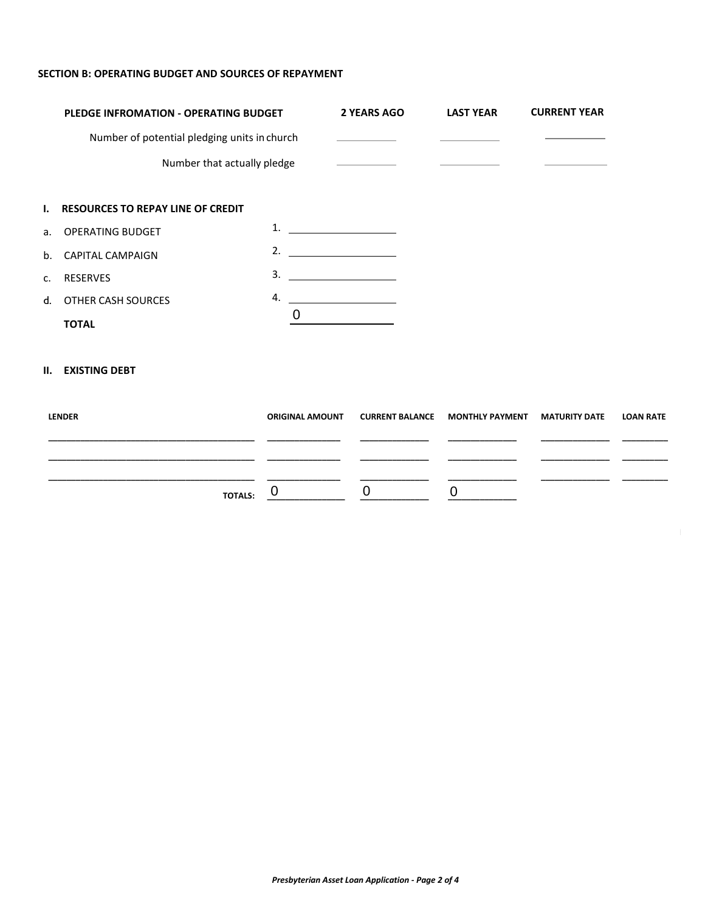## **SECTION B: OPERATING BUDGET AND SOURCES OF REPAYMENT**

|    | PLEDGE INFROMATION - OPERATING BUDGET<br>Number of potential pledging units in church<br>Number that actually pledge |    | 2 YEARS AGO                                  | <b>LAST YEAR</b> | <b>CURRENT YEAR</b> |
|----|----------------------------------------------------------------------------------------------------------------------|----|----------------------------------------------|------------------|---------------------|
|    |                                                                                                                      |    | <u> The Common State Common State Common</u> |                  |                     |
|    |                                                                                                                      |    |                                              |                  |                     |
|    |                                                                                                                      |    |                                              |                  |                     |
|    | I. RESOURCES TO REPAY LINE OF CREDIT                                                                                 |    |                                              |                  |                     |
|    | a. OPERATING BUDGET                                                                                                  | 1. |                                              |                  |                     |
|    | b. CAPITAL CAMPAIGN                                                                                                  |    | 2. $\qquad \qquad$                           |                  |                     |
| c. | RESERVES                                                                                                             | 3. |                                              |                  |                     |
|    | d. OTHER CASH SOURCES                                                                                                | 4. |                                              |                  |                     |
|    | <b>TOTAL</b>                                                                                                         | 0  |                                              |                  |                     |

# **II. EXISTING DEBT**

| <b>LENDER</b>  | <b>ORIGINAL AMOUNT</b> | CURRENT BALANCE MONTHLY PAYMENT MATURITY DATE | LOAN RATE |
|----------------|------------------------|-----------------------------------------------|-----------|
|                |                        |                                               |           |
|                |                        |                                               |           |
| <b>TOTALS:</b> |                        |                                               |           |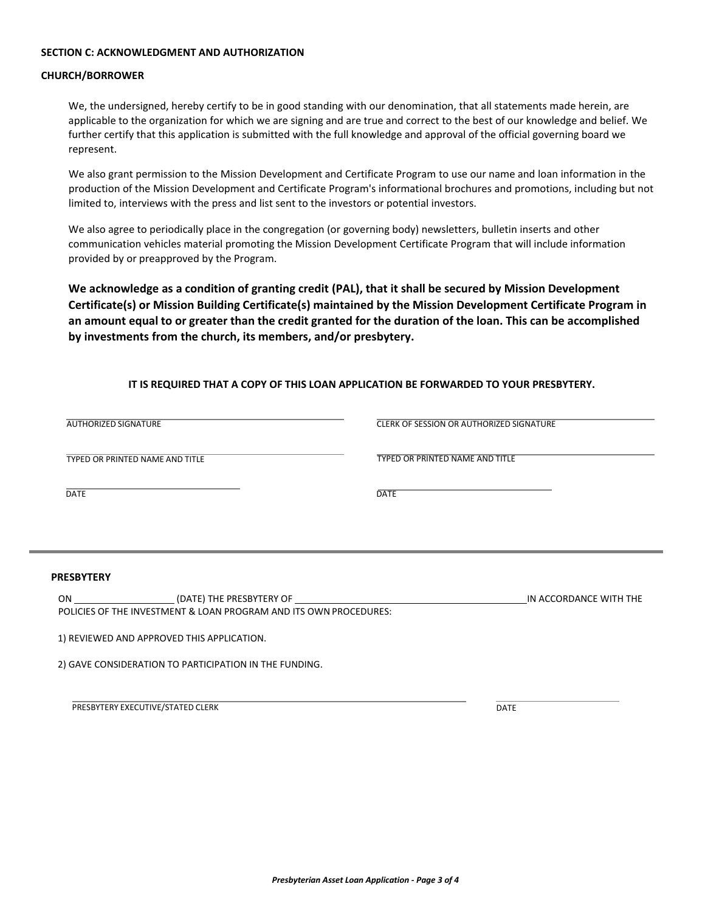#### **SECTION C: ACKNOWLEDGMENT AND AUTHORIZATION**

#### **CHURCH/BORROWER**

We, the undersigned, hereby certify to be in good standing with our denomination, that all statements made herein, are applicable to the organization for which we are signing and are true and correct to the best of our knowledge and belief. We further certify that this application is submitted with the full knowledge and approval of the official governing board we represent.

We also grant permission to the Mission Development and Certificate Program to use our name and loan information in the production of the Mission Development and Certificate Program's informational brochures and promotions, including but not limited to, interviews with the press and list sent to the investors or potential investors.

We also agree to periodically place in the congregation (or governing body) newsletters, bulletin inserts and other communication vehicles material promoting the Mission Development Certificate Program that will include information provided by or preapproved by the Program.

**We acknowledge as a condition of granting credit (PAL), that it shall be secured by Mission Development Certificate(s) or Mission Building Certificate(s) maintained by the Mission Development Certificate Program in an amount equal to or greater than the credit granted for the duration of the loan. This can be accomplished by investments from the church, its members, and/or presbytery.** 

## **IT IS REQUIRED THAT A COPY OF THIS LOAN APPLICATION BE FORWARDED TO YOUR PRESBYTERY.**

| <b>AUTHORIZED SIGNATURE</b>                                       | <b>CLERK OF SESSION OR AUTHORIZED SIGNATURE</b> |
|-------------------------------------------------------------------|-------------------------------------------------|
| TYPED OR PRINTED NAME AND TITLE                                   | TYPED OR PRINTED NAME AND TITLE                 |
| <b>DATE</b>                                                       | <b>DATE</b>                                     |
|                                                                   |                                                 |
| <b>PRESBYTERY</b>                                                 |                                                 |
| POLICIES OF THE INVESTMENT & LOAN PROGRAM AND ITS OWN PROCEDURES: | IN ACCORDANCE WITH THE                          |
| 1) REVIEWED AND APPROVED THIS APPLICATION.                        |                                                 |
| 2) GAVE CONSIDERATION TO PARTICIPATION IN THE FUNDING.            |                                                 |

PRESBYTERY EXECUTIVE/STATED CLERK DATE AND RESIDENT ON THE STATE OF THE STATE OF THE STATE OF THE STATE OF THE